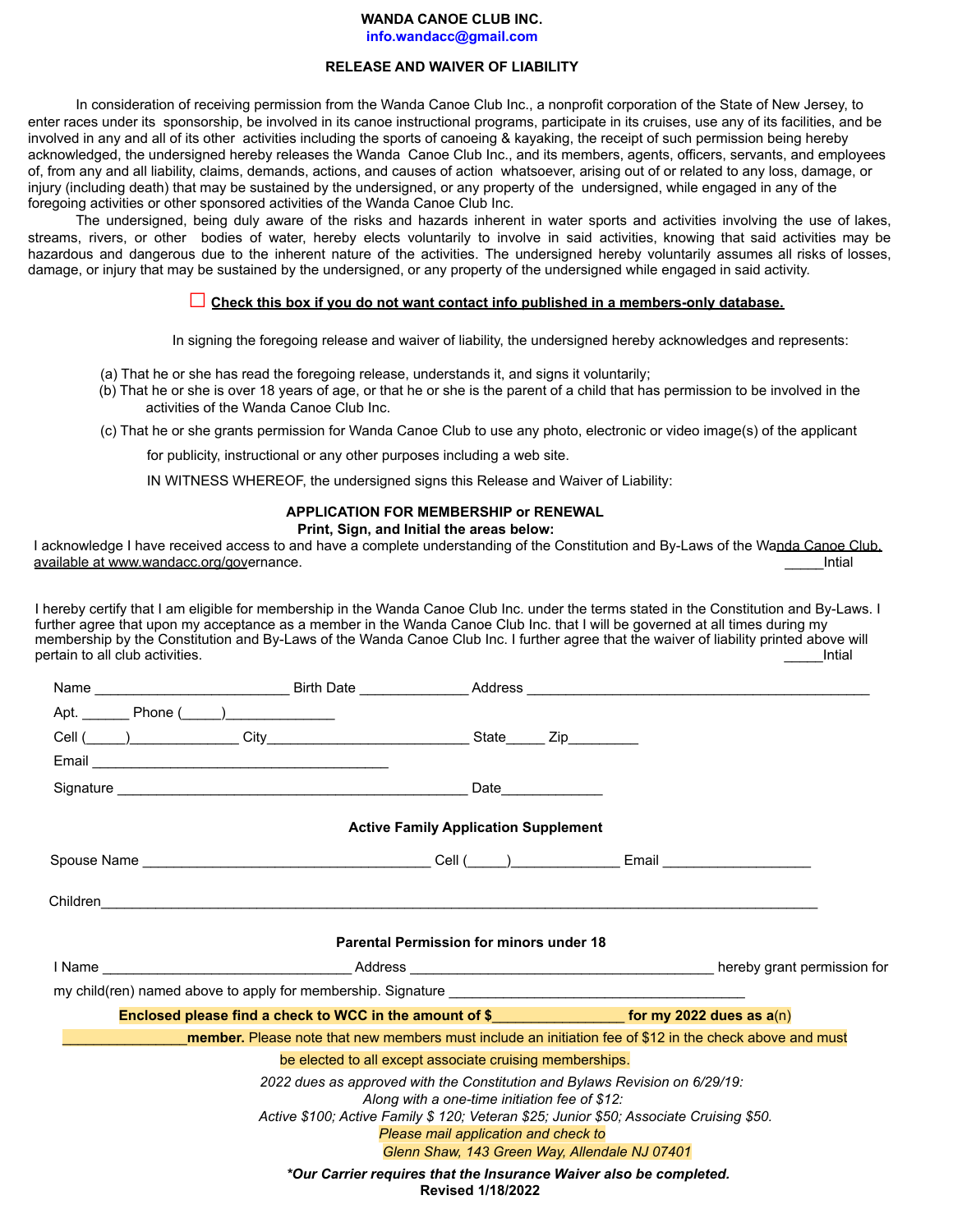# **WANDA CANOE CLUB INC.**

info.wandacc@gmail.com

### **RELEASE AND WAIVER OF LIABILITY**

In consideration of receiving permission from the Wanda Canoe Club Inc., a nonprofit corporation of the State of New Jersey, to enter races under its sponsorship, be involved in its canoe instructional programs, participate in its cruises, use any of its facilities, and be involved in any and all of its other activities including the sports of canoeing & kayaking, the receipt of such permission being hereby acknowledged, the undersigned hereby releases the Wanda Canoe Club Inc., and its members, agents, officers, servants, and employees of, from any and all liability, claims, demands, actions, and causes of action whatsoever, arising out of or related to any loss, damage, or injury (including death) that may be sustained by the undersigned, or any property of the undersigned, while engaged in any of the foregoing activities or other sponsored activities of the Wanda Canoe Club Inc.

The undersigned, being duly aware of the risks and hazards inherent in water sports and activities involving the use of lakes, streams, rivers, or other bodies of water, hereby elects voluntarily to involve in said activities, knowing that said activities may be hazardous and dangerous due to the inherent nature of the activities. The undersigned hereby voluntarily assumes all risks of losses, damage, or injury that may be sustained by the undersigned, or any property of the undersigned while engaged in said activity.

### $\Box$  Check this box if you do not want contact info published in a members-only database.

In signing the foregoing release and waiver of liability, the undersigned hereby acknowledges and represents:

- (a) That he or she has read the foregoing release, understands it, and signs it voluntarily;
- (b) That he or she is over 18 years of age, or that he or she is the parent of a child that has permission to be involved in the activities of the Wanda Canoe Club Inc.
- (c) That he or she grants permission for Wanda Canoe Club to use any photo, electronic or video image(s) of the applicant

for publicity, instructional or any other purposes including a web site.

IN WITNESS WHEREOF, the undersigned signs this Release and Waiver of Liability:

## **APPLICATION FOR MEMBERSHIP or RENEWAL**

#### Print, Sign, and Initial the areas below:

I acknowledge I have received access to and have a complete understanding of the Constitution and By-Laws of the Wanda Canoe Club. available at www.wandacc.org/governance. Intial

I hereby certify that I am eligible for membership in the Wanda Canoe Club Inc. under the terms stated in the Constitution and By-Laws. I further agree that upon my acceptance as a member in the Wanda Canoe Club Inc. that I will be governed at all times during my membership by the Constitution and By-Laws of the Wanda Canoe Club Inc. I further agree that the waiver of liability printed above will pertain to all club activities. Intial

| Cell ( ) City City City State Zip |                                                                                                                                                                                                                                                                 |                          |                                               |  |
|-----------------------------------|-----------------------------------------------------------------------------------------------------------------------------------------------------------------------------------------------------------------------------------------------------------------|--------------------------|-----------------------------------------------|--|
|                                   |                                                                                                                                                                                                                                                                 |                          |                                               |  |
|                                   |                                                                                                                                                                                                                                                                 |                          | Date ___________                              |  |
|                                   | <b>Active Family Application Supplement</b>                                                                                                                                                                                                                     |                          |                                               |  |
|                                   |                                                                                                                                                                                                                                                                 |                          |                                               |  |
|                                   |                                                                                                                                                                                                                                                                 |                          |                                               |  |
|                                   | <b>Parental Permission for minors under 18</b>                                                                                                                                                                                                                  |                          |                                               |  |
|                                   |                                                                                                                                                                                                                                                                 |                          |                                               |  |
|                                   |                                                                                                                                                                                                                                                                 |                          |                                               |  |
|                                   | Enclosed please find a check to WCC in the amount of $\frac{1}{2}$ examples 10 for my 2022 dues as a(n)                                                                                                                                                         |                          |                                               |  |
|                                   | member. Please note that new members must include an initiation fee of \$12 in the check above and must                                                                                                                                                         |                          |                                               |  |
|                                   | be elected to all except associate cruising memberships.                                                                                                                                                                                                        |                          |                                               |  |
|                                   | 2022 dues as approved with the Constitution and Bylaws Revision on 6/29/19:<br>Along with a one-time initiation fee of \$12:<br>Active \$100; Active Family \$ 120; Veteran \$25; Junior \$50; Associate Cruising \$50.<br>Please mail application and check to |                          |                                               |  |
|                                   |                                                                                                                                                                                                                                                                 |                          | Glenn Shaw, 143 Green Way, Allendale NJ 07401 |  |
|                                   | *Our Carrier requires that the Insurance Waiver also be completed.                                                                                                                                                                                              | <b>Revised 1/18/2022</b> |                                               |  |